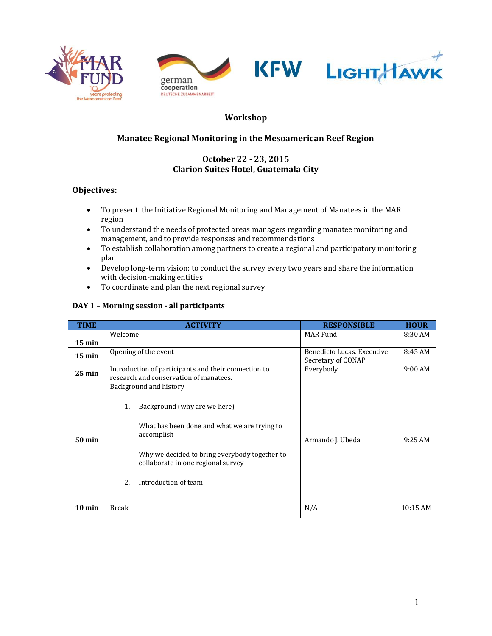





# **Workshop**

## **Manatee Regional Monitoring in the Mesoamerican Reef Region**

### **October 22 - 23, 2015 Clarion Suites Hotel, Guatemala City**

### **Objectives:**

- To present the Initiative Regional Monitoring and Management of Manatees in the MAR region
- To understand the needs of protected areas managers regarding manatee monitoring and management, and to provide responses and recommendations
- To establish collaboration among partners to create a regional and participatory monitoring plan
- Develop long-term vision: to conduct the survey every two years and share the information with decision-making entities
- To coordinate and plan the next regional survey

#### **DAY 1 – Morning session - all participants**

| <b>TIME</b>      | <b>ACTIVITY</b>                                                                                                                                                                                                                                 | <b>RESPONSIBLE</b>                               | <b>HOUR</b> |
|------------------|-------------------------------------------------------------------------------------------------------------------------------------------------------------------------------------------------------------------------------------------------|--------------------------------------------------|-------------|
| $15 \text{ min}$ | Welcome                                                                                                                                                                                                                                         | MAR Fund                                         | 8:30 AM     |
| $15 \text{ min}$ | Opening of the event                                                                                                                                                                                                                            | Benedicto Lucas, Executive<br>Secretary of CONAP | 8:45 AM     |
| $25 \text{ min}$ | Introduction of participants and their connection to<br>research and conservation of manatees.                                                                                                                                                  | Everybody                                        | 9:00 AM     |
| <b>50 min</b>    | Background and history<br>Background (why are we here)<br>1.<br>What has been done and what we are trying to<br>accomplish<br>Why we decided to bring everybody together to<br>collaborate in one regional survey<br>Introduction of team<br>2. | Armando J. Ubeda                                 | $9:25$ AM   |
| $10 \text{ min}$ | <b>Break</b>                                                                                                                                                                                                                                    | N/A                                              | 10:15AM     |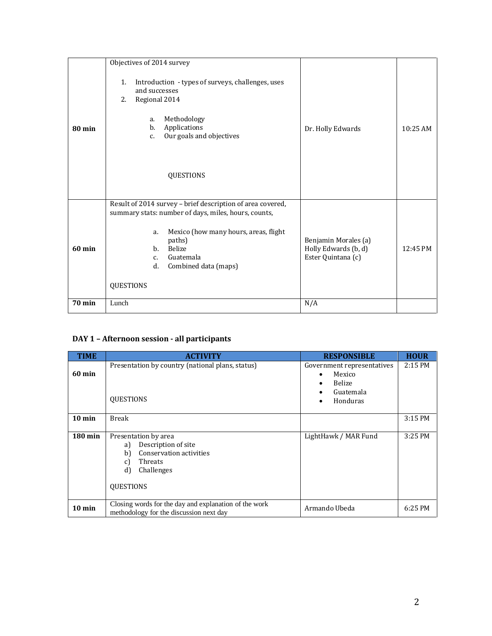|                  | Objectives of 2014 survey                                                                                                                                                                                                                                                             |                                                                    |            |
|------------------|---------------------------------------------------------------------------------------------------------------------------------------------------------------------------------------------------------------------------------------------------------------------------------------|--------------------------------------------------------------------|------------|
| $80 \text{ min}$ | Introduction - types of surveys, challenges, uses<br>1.<br>and successes<br>Regional 2014<br>2.<br>Methodology<br>a.<br>Applications<br>b.<br>Our goals and objectives<br>$C_{1}$<br><b>QUESTIONS</b>                                                                                 | Dr. Holly Edwards                                                  | $10:25$ AM |
| $60$ min         | Result of 2014 survey - brief description of area covered,<br>summary stats: number of days, miles, hours, counts,<br>Mexico (how many hours, areas, flight<br>a.<br>paths)<br><b>Belize</b><br>$h_{\cdot}$<br>Guatemala<br>$C_{1}$<br>Combined data (maps)<br>d.<br><b>QUESTIONS</b> | Benjamin Morales (a)<br>Holly Edwards (b, d)<br>Ester Quintana (c) | 12:45 PM   |
| <b>70 min</b>    | Lunch                                                                                                                                                                                                                                                                                 | N/A                                                                |            |

# **DAY 1 – Afternoon session - all participants**

| <b>TIME</b>          | <b>ACTIVITY</b>                                                                                                                             | <b>RESPONSIBLE</b>                                                      | <b>HOUR</b> |
|----------------------|---------------------------------------------------------------------------------------------------------------------------------------------|-------------------------------------------------------------------------|-------------|
| $60 \text{ min}$     | Presentation by country (national plans, status)<br><b>OUESTIONS</b>                                                                        | Government representatives<br>Mexico<br>Belize<br>Guatemala<br>Honduras | $2:15$ PM   |
| $10 \text{ min}$     | <b>Break</b>                                                                                                                                |                                                                         | 3:15 PM     |
| $180 \,\mathrm{min}$ | Presentation by area<br>Description of site<br>a)<br>Conservation activities<br>b)<br>Threats<br>c)<br>d)<br>Challenges<br><b>QUESTIONS</b> | LightHawk / MAR Fund                                                    | 3:25 PM     |
| $10 \text{ min}$     | Closing words for the day and explanation of the work<br>methodology for the discussion next day                                            | Armando Ubeda                                                           | 6:25 PM     |